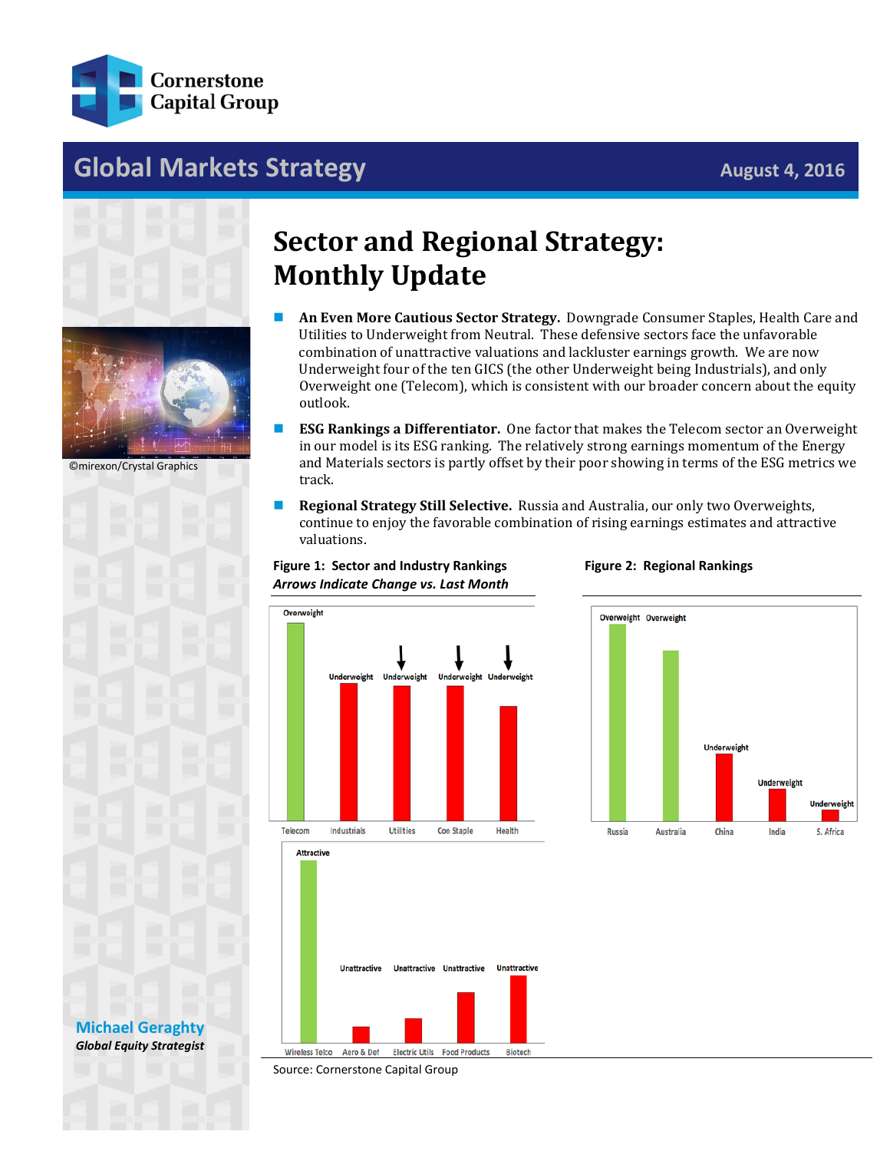

## **Global Markets Strategy August 4, 2016**





©mirexon/Crystal Graphics

## **Sector and Regional Strategy: Monthly Update**

- **An Even More Cautious Sector Strategy.** Downgrade Consumer Staples, Health Care and Utilities to Underweight from Neutral. These defensive sectors face the unfavorable combination of unattractive valuations and lackluster earnings growth. We are now Underweight four of the ten GICS (the other Underweight being Industrials), and only Overweight one (Telecom), which is consistent with our broader concern about the equity outlook.
- **ESG Rankings a Differentiator.** One factor that makes the Telecom sector an Overweight in our model is its ESG ranking. The relatively strong earnings momentum of the Energy and Materials sectors is partly offset by their poor showing in terms of the ESG metrics we track.
- **Regional Strategy Still Selective.** Russia and Australia, our only two Overweights, continue to enjoy the favorable combination of rising earnings estimates and attractive valuations.



**Figure 1: Sector and Industry Rankings**







## **[Michael Geraghty](mailto:michael.geraghty@cornerstonecapinc.com)** *Global Equity Strategist*

Source: Cornerstone Capital Group